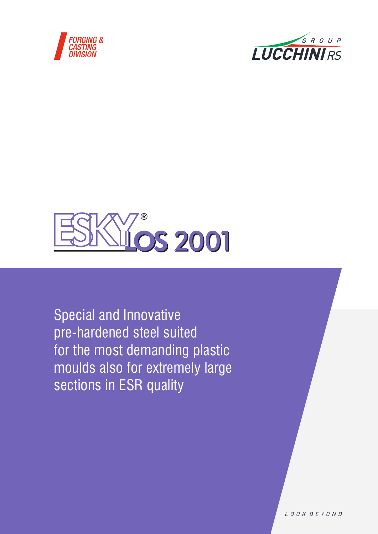





Special and Innovative pre-hardened steel suited for the most demanding plastic moulds also for extremely large sections in ESR quality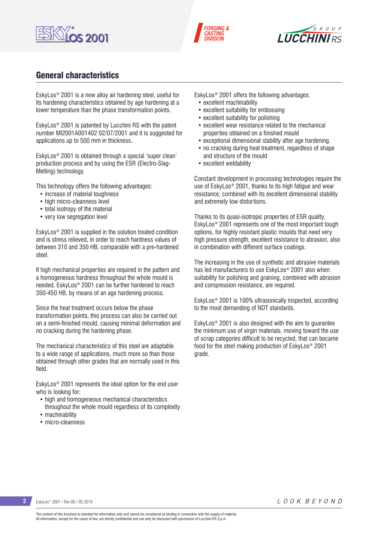





## General characteristics

EskyLos® 2001 is a new alloy air hardening steel, useful for its hardening characteristics obtained by age hardening at a lower temperature than the phase transformation points.

EskyLos® 2001 is patented by Lucchini RS with the patent number MI2001A001402 02/07/2001 and it is suggested for applications up to 500 mm in thickness.

EskyLos® 2001 is obtained through a special 'super clean' production process and by using the ESR (Electro-Slag-Melting) technology.

This technology offers the following advantages:

- increase of material toughness
- high micro-cleanness level
- total isotropy of the material
- very low segregation level

EskyLos® 2001 is supplied in the solution treated condition and is stress relieved, in order to reach hardness values of between 310 and 350 HB, comparable with a pre-hardened steel.

If high mechanical properties are required in the pattern and a homogeneous hardness throughout the whole mould is needed, EskyLos® 2001 can be further hardened to reach 350-450 HB, by means of an age hardening process.

Since the heat treatment occurs below the phase transformation points, this process can also be carried out on a semi-finished mould, causing minimal deformation and no cracking during the hardening phase.

The mechanical characteristics of this steel are adaptable to a wide range of applications, much more so than those obtained through other grades that are normally used in this field.

EskyLos® 2001 represents the ideal option for the end user who is looking for:

- high and homogeneous mechanical characteristics throughout the whole mould regardless of its complexity
- machinability
- micro-cleanness

EskyLos® 2001 offers the following advantages:

- excellent machinability
- excellent suitability for embossing
- excellent suitability for polishing
- excellent wear resistance related to the mechanical properties obtained on a finished mould
- exceptional dimensional stability after age hardening.
- no cracking during heat treatment, regardless of shape and structure of the mould
- excellent weldability

Constant development in processing technologies require the use of EskyLos® 2001, thanks to its high fatigue and wear resistance, combined with its excellent dimensional stability and extremely low distortions.

Thanks to its quasi-isotropic properties of ESR quality, EskyLos® 2001 represents one of the most important tough options, for highly resistant plastic moulds that need very high pressure strength, excellent resistance to abrasion, also in combination with different surface coatings.

The increasing in the use of synthetic and abrasive materials has led manufacturers to use EskyLos® 2001 also when suitability for polishing and graining, combined with abrasion and compression resistance, are required.

EskyLos® 2001 is 100% ultrasonically inspected, according to the most demanding of NDT standards.

EskyLos® 2001 is also designed with the aim to guarantee the minimum use of virgin materials, moving toward the use of scrap categories difficult to be recycled, that can became food for the steel making production of EskyLos® 2001 grade.

**2** EskyLos® 2001 / Rev.00 / 05.2019

LOOK BEYOND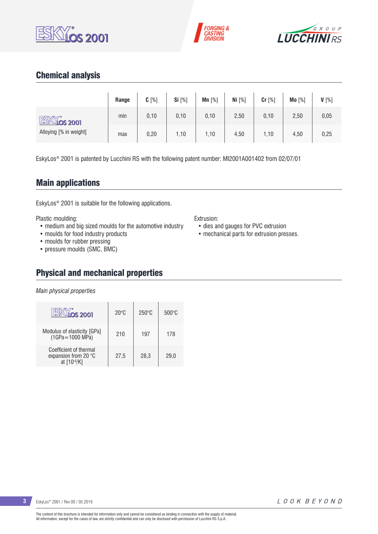





## Chemical analysis

|                           | Range | $C[\%]$ | Si [%] | Mn $[%]$ | Ni $[%]$ | Cr [%] | Mo [%] | $V[\%]$ |
|---------------------------|-------|---------|--------|----------|----------|--------|--------|---------|
| ESKY:<br><u>Nios 2001</u> | min   | 0,10    | 0, 10  | 0,10     | 2,50     | 0,10   | 2,50   | 0,05    |
| Alloying [% in weight]    | max   | 0,20    | 1,10   | 1,10     | 4,50     | 1,10   | 4,50   | 0,25    |

EskyLos® 2001 is patented by Lucchini RS with the following patent number: MI2001A001402 from 02/07/01

## Main applications

EskyLos® 2001 is suitable for the following applications.

Plastic moulding:

- medium and big sized moulds for the automotive industry
- moulds for food industry products
- moulds for rubber pressing
- pressure moulds (SMC, BMC)

## Physical and mechanical properties

*Main physical properties*

| <b>S2001</b>                                                  | $20^{\circ}$ C | $250^\circ C$ | $500\degree C$ |
|---------------------------------------------------------------|----------------|---------------|----------------|
| Modulus of elasticity [GPa]<br>$(1GPa = 1000 MPa)$            | 210            | 197           | 178            |
| Coefficient of thermal<br>expansion from 20 °C<br>at [10-6/K] | 27.5           | 28.3          | 29.0           |

Extrusion:

- dies and gauges for PVC extrusion
- mechanical parts for extrusion presses.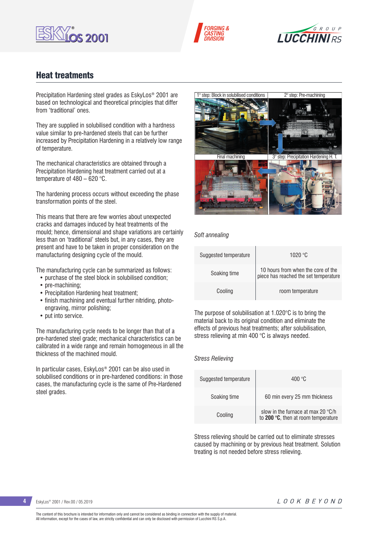





## Heat treatments

Precipitation Hardening steel grades as EskyLos® 2001 are based on technological and theoretical principles that differ from 'traditional' ones.

They are supplied in solubilised condition with a hardness value similar to pre-hardened steels that can be further increased by Precipitation Hardening in a relatively low range of temperature.

The mechanical characteristics are obtained through a Precipitation Hardening heat treatment carried out at a temperature of 480 – 620 °C.

The hardening process occurs without exceeding the phase transformation points of the steel.

This means that there are few worries about unexpected cracks and damages induced by heat treatments of the mould; hence, dimensional and shape variations are certainly less than on 'traditional' steels but, in any cases, they are present and have to be taken in proper consideration on the manufacturing designing cycle of the mould.

The manufacturing cycle can be summarized as follows:

- purchase of the steel block in solubilised condition;
- pre-machining;
- Precipitation Hardening heat treatment;
- finish machining and eventual further nitriding, photoengraving, mirror polishing;
- put into service.

The manufacturing cycle needs to be longer than that of a pre-hardened steel grade; mechanical characteristics can be calibrated in a wide range and remain homogeneous in all the thickness of the machined mould.

In particular cases, EskyLos® 2001 can be also used in solubilised conditions or in pre-hardened conditions: in those cases, the manufacturing cycle is the same of Pre-Hardened steel grades.



*Soft annealing*

| Suggested temperature | 1020 °C                                                                     |
|-----------------------|-----------------------------------------------------------------------------|
| Soaking time          | 10 hours from when the core of the<br>piece has reached the set temperature |
| Cooling               | room temperature                                                            |

The purpose of solubilisation at 1.020°C is to bring the material back to its original condition and eliminate the effects of previous heat treatments; after solubilisation, stress relieving at min 400 °C is always needed.

### *Stress Relieving*

| Suggested temperature | 400 °C                                                                    |
|-----------------------|---------------------------------------------------------------------------|
| Soaking time          | 60 min every 25 mm thickness                                              |
| Cooling               | slow in the furnace at max 20 °C/h<br>to 200 °C, then at room temperature |

Stress relieving should be carried out to eliminate stresses caused by machining or by previous heat treatment. Solution treating is not needed before stress relieving.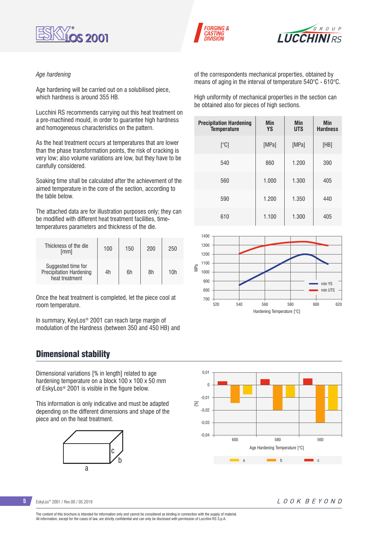





#### *Age hardening*

Age hardening will be carried out on a solubilised piece, which hardness is around 355 HB.

Lucchini RS recommends carrying out this heat treatment on a pre-machined mould, in order to guarantee high hardness and homogeneous characteristics on the pattern.

As the heat treatment occurs at temperatures that are lower than the phase transformation points, the risk of cracking is very low; also volume variations are low, but they have to be carefully considered.

Soaking time shall be calculated after the achievement of the aimed temperature in the core of the section, according to the table below.

The attached data are for illustration purposes only; they can be modified with different heat treatment facilities, timetemperatures parameters and thickness of the die.

| Thickness of the die<br>[mm]                                    | 100 | 150 | 200 | 250 |
|-----------------------------------------------------------------|-----|-----|-----|-----|
| Suggested time for<br>Precipitation Hardening<br>heat treatment | 4h  | 6h  | 8h  | 10h |

Once the heat treatment is completed, let the piece cool at room temperature.

In summary, KeyLos® 2001 can reach large margin of modulation of the Hardness (between 350 and 450 HB) and

### Dimensional stability

Dimensional variations [% in length] related to age hardening temperature on a block 100 x 100 x 50 mm of EskyLos® 2001 is visible in the figure below.

This information is only indicative and must be adapted depending on the different dimensions and shape of the piece and on the heat treatment.



of the correspondents mechanical properties, obtained by means of aging in the interval of temperature 540°C - 610°C.

High uniformity of mechanical properties in the section can be obtained also for pieces of high sections.

| <b>Precipitation Hardening</b><br><b>Temperature</b> | Min<br><b>YS</b> | Min<br><b>UTS</b> | Min<br><b>Hardness</b> |
|------------------------------------------------------|------------------|-------------------|------------------------|
| [°C]                                                 | [MPa]            | [MPa]             | [HB]                   |
| 540                                                  | 860              | 1.200             | 390                    |
| 560                                                  | 1.000            | 1.300             | 405                    |
| 590                                                  | 1.200            | 1.350             | 440                    |
| 610                                                  | 1.100            | 1.300             | 405                    |





**5** EskyLos® 2001 / Rev.00 / 05.2019

LOOK BEYOND

The content of this brochure is intended for information only and cannot be considered as binding in connection with the supply of material. All information, except for the cases of law, are strictly confidential and can only be disclosed with permission of Lucchini RS S.p.A.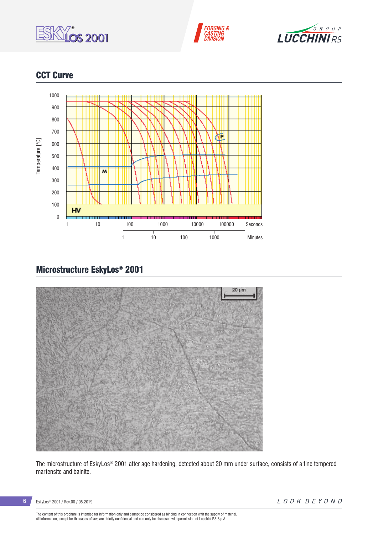





## **CCT Curve**



# Microstructure EskyLos® 2001



The microstructure of EskyLos® 2001 after age hardening, detected about 20 mm under surface, consists of a fine tempered martensite and bainite.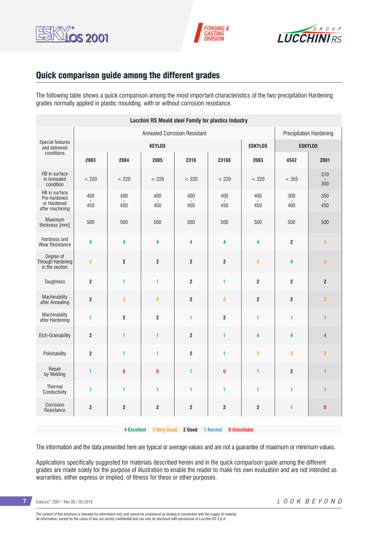





## Quick comparison guide among the different grades

The following table shows a quick comparison among the most important characteristics of the two precipitation Hardening grades normally applied in plastic moulding, with or without corrosion resistance.

| <b>Lucchini RS Mould steel Family for plastics Industry</b>     |                                                                       |                         |                         |                         |                         |                         |                  |                |
|-----------------------------------------------------------------|-----------------------------------------------------------------------|-------------------------|-------------------------|-------------------------|-------------------------|-------------------------|------------------|----------------|
|                                                                 | <b>Annealed Corrosion Resistant</b><br><b>Precipitation Hardening</b> |                         |                         |                         |                         |                         |                  |                |
| Special features<br>and delivered                               |                                                                       |                         | <b>KEYLOS</b>           |                         |                         | <b>ESKYLOS</b>          | <b>ESKYLOS</b>   |                |
| conditions                                                      | 2083                                                                  | 2084                    | 2085                    | 2316                    | 2316S                   | 2083                    | 4542             | 2001           |
| HB in surface<br>in Annealed<br>condition                       | < 220                                                                 | < 220                   | < 220                   | < 220                   | < 220                   | < 220                   | < 355            | 310<br>350     |
| HB in surface<br>Pre-hardened<br>or Hardened<br>after machining | 400<br>450                                                            | 400<br>450              | 400<br>450              | 400<br>450              | 400<br>450              | 400<br>450              | 300<br>400       | 350<br>450     |
| Maximum<br>thickness [mm]                                       | 500                                                                   | 500                     | 500                     | 500                     | 500                     | 500                     | 500              | 500            |
| Hardness and<br>Wear Resistance                                 | 4                                                                     | 4                       | 4                       | 4                       | 4                       | 4                       | $\overline{2}$   | 3              |
| Degree of<br>Through Hardening<br>in the section                | $\overline{\mathbf{3}}$                                               | $\overline{2}$          | $\overline{2}$          | $\overline{\mathbf{2}}$ | $\overline{\mathbf{2}}$ | $\mathbf{3}$            | 4                | 3              |
| Toughness                                                       | $\boldsymbol{2}$                                                      | 1                       | 1                       | $\overline{2}$          | 1                       | $\overline{2}$          | $\overline{2}$   | $\overline{2}$ |
| Machinability<br>after Annealing                                | $\mathbf 2$                                                           | 3                       | $\overline{\mathbf{3}}$ | $\overline{\mathbf{2}}$ | 3                       | $\overline{2}$          | $\mathbf 2$      | 3              |
| Machinability<br>after Hardening                                | 1                                                                     | $\overline{\mathbf{2}}$ | $\overline{2}$          | 1                       | $\mathbf{2}$            | 1                       | 1                | 1              |
| Etch-Grainability                                               | $\boldsymbol{2}$                                                      | $\mathbf{1}$            | 1                       | $\overline{\mathbf{2}}$ | 1                       | 4                       | 4                | 4              |
| Polishability                                                   | $\overline{2}$                                                        | $\blacksquare$          | $\overline{1}$          | $\overline{2}$          | $\blacksquare$          | $\overline{\mathbf{3}}$ | 3                | 3              |
| Repair<br>by Welding                                            | $\blacksquare$                                                        | $\mathbf{0}$            | $\bf{0}$                | 1                       | $\pmb{0}$               | 1                       | $\boldsymbol{2}$ | $\mathbf{1}$   |
| Thermal<br>Conductivity                                         | 1                                                                     | 1                       | 1                       | 1                       | $\blacksquare$          | 1                       | 1                | 1              |
| Corrosion<br>Resistance                                         | $\mathbf 2$                                                           | $\overline{2}$          | $\overline{2}$          | $\overline{\mathbf{2}}$ | $\overline{\mathbf{2}}$ | $\overline{2}$          | 1                | $\pmb{0}$      |
|                                                                 |                                                                       |                         |                         |                         |                         |                         |                  |                |

**4 Excellent 3 Very Good 2 Good 1 Normal 0 Unsuitable**

The information and the data presented here are typical or average values and are not a guarantee of maximum or minimum values.

Applications specifically suggested for materials described herein and in the quick comparison guide among the different grades are made solely for the purpose of illustration to enable the reader to make his own evaluation and are not intended as warranties, either express or implied, of fitness for these or other purposes.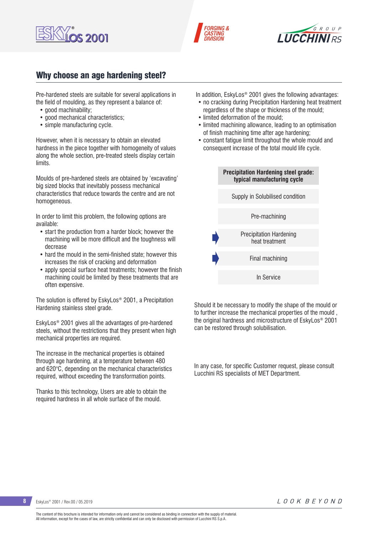





## Why choose an age hardening steel?

Pre-hardened steels are suitable for several applications in the field of moulding, as they represent a balance of:

- good machinability:
- good mechanical characteristics:
- simple manufacturing cycle.

However, when it is necessary to obtain an elevated hardness in the piece together with homogeneity of values along the whole section, pre-treated steels display certain limits.

Moulds of pre-hardened steels are obtained by 'excavating' big sized blocks that inevitably possess mechanical characteristics that reduce towards the centre and are not homogeneous.

In order to limit this problem, the following options are available:

- start the production from a harder block; however the machining will be more difficult and the toughness will decrease
- hard the mould in the semi-finished state; however this increases the risk of cracking and deformation
- apply special surface heat treatments; however the finish machining could be limited by these treatments that are often expensive.

The solution is offered by EskyLos® 2001, a Precipitation Hardening stainless steel grade.

EskyLos® 2001 gives all the advantages of pre-hardened steels, without the restrictions that they present when high mechanical properties are required.

The increase in the mechanical properties is obtained through age hardening, at a temperature between 480 and 620°C, depending on the mechanical characteristics required, without exceeding the transformation points.

Thanks to this technology, Users are able to obtain the required hardness in all whole surface of the mould.

In addition, EskyLos® 2001 gives the following advantages:

- no cracking during Precipitation Hardening heat treatment regardless of the shape or thickness of the mould;
- limited deformation of the mould;
- limited machining allowance, leading to an optimisation of finish machining time after age hardening;
- constant fatigue limit throughout the whole mould and consequent increase of the total mould life cycle.



Should it be necessary to modify the shape of the mould or to further increase the mechanical properties of the mould , the original hardness and microstructure of EskyLos® 2001 can be restored through solubilisation.

In any case, for specific Customer request, please consult Lucchini RS specialists of MET Department.

**8** EskyLos® 2001 / Rev.00 / 05.2019

The content of this brochure is intended for information only and cannot be considered as binding in connection with the supply of material. All information, except for the cases of law, are strictly confidential and can only be disclosed with permission of Lucchini RS S.p.A.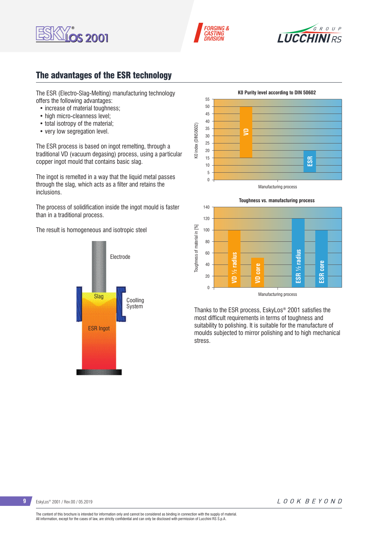





## The advantages of the ESR technology

The ESR (Electro-Slag-Melting) manufacturing technology offers the following advantages:

- increase of material toughness:
- high micro-cleanness level;
- total isotropy of the material;
- very low segregation level.

The ESR process is based on ingot remelting, through a traditional VD (vacuum degasing) process, using a particular copper ingot mould that contains basic slag.

The ingot is remelted in a way that the liquid metal passes through the slag, which acts as a filter and retains the inclusions.

The process of solidification inside the ingot mould is faster than in a traditional process.

The result is homogeneous and isotropic steel







Thanks to the ESR process, EskyLos® 2001 satisfies the most difficult requirements in terms of toughness and suitability to polishing. It is suitable for the manufacture of moulds subjected to mirror polishing and to high mechanical stress.

**9** EskyLos® 2001 / Rev.00 / 05.2019

LOOK BEYOND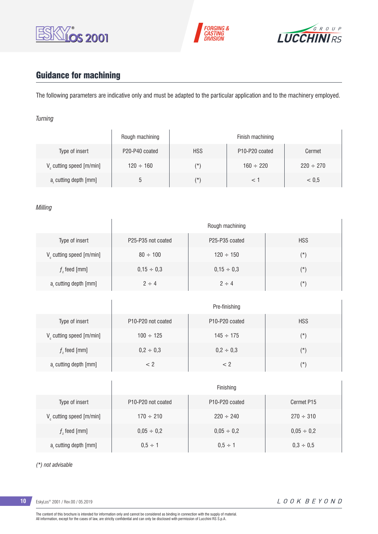





# Guidance for machining

The following parameters are indicative only and must be adapted to the particular application and to the machinery employed.

### *Turning*

|                                      | Rough machining |            | Finish machining                        |                |
|--------------------------------------|-----------------|------------|-----------------------------------------|----------------|
| Type of insert                       | P20-P40 coated  | <b>HSS</b> | P <sub>10</sub> -P <sub>20</sub> coated | Cermet         |
| V <sub>c</sub> cutting speed [m/min] | $120 \div 160$  | $(\star)$  | $160 \div 220$                          | $220 \div 270$ |
| a, cutting depth [mm]                |                 | (*`        |                                         | < 0.5          |

### *Milling*

|                                      |                    | Rough machining |            |
|--------------------------------------|--------------------|-----------------|------------|
| Type of insert                       | P25-P35 not coated | P25-P35 coated  | <b>HSS</b> |
| $V_c$ cutting speed [m/min]          | $80 \div 100$      | $120 \div 150$  | $(\star)$  |
| $f7$ feed [mm]                       | $0,15 \div 0,3$    | $0,15 \div 0,3$ | $(\star)$  |
| a, cutting depth [mm]                | $2 \div 4$         | $2 \div 4$      | $(\star)$  |
|                                      |                    |                 |            |
|                                      |                    | Pre-finishing   |            |
| Type of insert                       | P10-P20 not coated | P10-P20 coated  | <b>HSS</b> |
| V <sub>c</sub> cutting speed [m/min] | $100 \div 125$     | $145 \div 175$  | $(\star)$  |
| $fz$ feed [mm]                       | $0,2 \div 0,3$     | $0,2 \div 0,3$  | $(\star)$  |
| a, cutting depth [mm]                | $< 2\,$            | $< 2\,$         | $(\star)$  |
|                                      |                    |                 |            |
|                                      |                    | Finishing       |            |
| Type of insert                       | P10-P20 not coated | P10-P20 coated  | Cermet P15 |

| Type of insert          | P10-P20 not coated | P <sub>10</sub> -P <sub>20</sub> coated | Cermet P15      |
|-------------------------|--------------------|-----------------------------------------|-----------------|
| V cutting speed [m/min] | $170 \div 210$     | $220 \div 240$                          | $270 \div 310$  |
| $f$ , feed [mm]         | $0,05 \div 0,2$    | $0.05 \div 0.2$                         | $0.05 \div 0.2$ |
| a, cutting depth [mm]   | $0.5 \div 1$       | $0.5 \div 1$                            | $0.3 \div 0.5$  |

*(\*) not advisable*

**10** EskyLos® 2001 / Rev.00 / 05.2019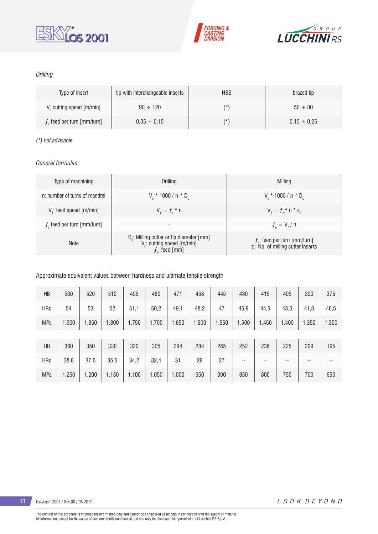





### *Drilling*

| Type of insert               | tip with interchangeable inserts | <b>HSS</b> | brazed tip       |
|------------------------------|----------------------------------|------------|------------------|
| V cutting speed [m/min]      | $90 \div 120$                    | (*         | $50 \div 80$     |
| $fz$ feed per turn [mm/turn] | $0.05 \div 0.15$                 | (*         | $0.15 \div 0.25$ |

### *(\*) not advisable*

### *General formulae*

| Type of machining             | Drilling                                                                                              | Milling                                                                           |
|-------------------------------|-------------------------------------------------------------------------------------------------------|-----------------------------------------------------------------------------------|
| n: number of turns of mandrel | $V_{\rm c}$ * 1000 / $\pi$ * D <sub>c</sub>                                                           | $V_r * 1000 / \pi * D_c$                                                          |
| $V_f$ : feed speed [m/min]    | $V_{f} = f_{7}$ * n                                                                                   | $V_{f} = f_{7}$ * n * z <sub>n</sub>                                              |
| $fz$ feed per turn [mm/turn]  | $\overline{\phantom{0}}$                                                                              | $f_{n} = V_{f} / n$                                                               |
| <b>Note</b>                   | D <sub>r</sub> : Milling cutter or tip diameter [mm]<br>V .: cutting speed [m/min]<br>$f$ ; feed [mm] | $f_n$ : feed per turn [mm/turn]<br>z <sub>n</sub> : No. of milling cutter inserts |

### Approximate equivalent values between hardness and ultimate tensile strength

| HB         | 530   | 520   | 512   | 495   | 480   | 471   | 458   | 445   | 430   | 415   | 405   | 390   | 375   |
|------------|-------|-------|-------|-------|-------|-------|-------|-------|-------|-------|-------|-------|-------|
| <b>HRc</b> | 54    | 53    | 52    | 51,1  | 50,2  | 49,1  | 48,2  | 47    | 45,9  | 44,5  | 43,6  | 41,8  | 40,5  |
| <b>MPa</b> | 1.900 | 1.850 | 1.800 | 1.750 | 1.700 | 1.650 | 1.600 | 1.550 | 1.500 | 1.450 | 1.400 | 1.350 | 1.300 |
|            |       |       |       |       |       |       |       |       |       |       |       |       |       |
| HB         | 360   | 350   | 330   | 320   | 305   | 294   | 284   | 265   | 252   | 238   | 225   | 209   | 195   |
| <b>HRc</b> | 38,8  | 37,6  | 35,5  | 34,2  | 32,4  | 31    | 29    | 27    | --    | --    | --    | $- -$ | --    |
| <b>MPa</b> | 1.250 | 1.200 | 1.150 | 1.100 | 1.050 | 1.000 | 950   | 900   | 850   | 800   | 750   | 700   | 650   |